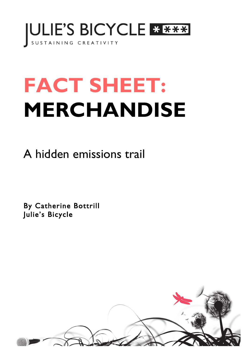

# **FACT SHEET: MERCHANDISE**

A hidden emissions trail

By Catherine Bottrill Julie's Bicycle

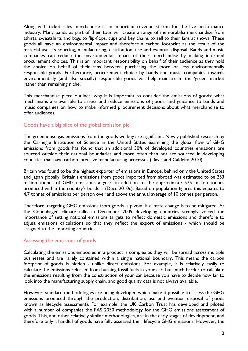Along with ticket sales merchandise is an important revenue stream for the live performance industry. Many bands as part of their tour will create a range of memorabilia merchandise from tshirts, sweatshirts and bags to flip-flops, cups and key chains to sell to their fans at shows. These goods all have an environmental impact and therefore a carbon footprint as the result of the material use, its sourcing, manufacturing, distribution, use and eventual disposal. Bands and music companies can reduce the environmental impact of their merchandise by making informed procurement choices. This is an important responsibility on behalf of their audience as they hold the choice on behalf of their fans between purchasing the more or less environmentally responsible goods. Furthermore, procurement choice by bands and music companies towards environmentally (and also socially) responsible goods will help mainstream the 'green' market rather than remaining niche.

This merchandise piece outlines: why it is important to consider the emissions of goods; what mechanisms are available to assess and reduce emissions of goods; and guidance to bands and music companies on how to make informed procurement decisions about what merchandise to offer audiences.

### Goods have a big slice of the global emission pie

The greenhouse gas emissions from the goods we buy are significant. Newly published research by the Carnegie Institution of Science in the United States examining the global flow of GHG emissions from goods has found that an additional 30% of developed countries emissions are sourced outside their national boundaries and more often than not are sourced in developing countries that have carbon intensive manufacturing processes (Davis and Caldeira 2010).

Britain was found to be the highest exporter of emissions in Europe, behind only the United States and Japan globally. Britain's emissions from goods imported from abroad was estimated to be 253 million tonnes of GHG emissions a year, in addition to the approximate 575 million tonnes produced within the country's borders (Decc 2010c). Based on population figures this equates to 4.7 tonnes of emissions per person over and above the annual average of 10 tonnes per person.

Therefore, targeting GHG emissions from goods is pivotal if climate change is to be mitigated. At the Copenhagen climate talks in December 2009 developing countries strongly voiced the importance of setting national emissions targets to reflect domestic emissions and therefore to adjust emissions calculations so that they reflect the export of emissions - which should be assigned to the importing countries.

### Assessing the emissions of goods

Calculating the emissions embodied in a product is complex as they will be spread across multiple businesses and are rarely contained within a single national boundary. This means the carbon footprint of goods is hidden - unlike direct emissions. For example, it is relatively easily to calculate the emissions released from burning fossil fuels in your car, but much harder to calculate the emissions resulting from the construction of your car because you have to decide how far to look into the manufacturing supply chain, and good quality data is not always available.

However, standard methodologies are being developed which make it possible to assess the GHG emissions produced through the production, distribution, use and eventual disposal of goods known as lifecycle assessment). For example, the UK Carbon Trust has developed and piloted with a number of companies the PAS 2050 methodology for the GHG emissions assessment of goods. This, and other relatively similar methodologies, are in the early stages of development, and therefore only a handful of goods have fully assessed their lifecycle GHG emissions. However, the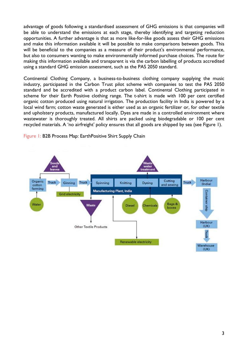advantage of goods following a standardised assessment of GHG emissions is that companies will be able to understand the emissions at each stage, thereby identifying and targeting reduction opportunities. A further advantage is that as more like-for-like goods assess their GHG emissions and make this information available it will be possible to make comparisons between goods. This will be beneficial to the companies as a measure of their product's environmental performance, but also to consumers wanting to make environmentally informed purchase choices. The route for making this information available and transparent is via the carbon labelling of products accredited using a standard GHG emission assessment, such as the PAS 2050 standard.

Continental Clothing Company, a business-to-business clothing company supplying the music industry, participated in the Carbon Trust pilot scheme with companies to test the PAS 2050 standard and be accredited with a product carbon label. Continental Clothing participated in scheme for their Earth Positive clothing range. The t-shirt is made with 100 per cent certified organic cotton produced using natural irrigation. The production facility in India is powered by a local wind farm; cotton waste generated is either used as an organic fertilizer or, for other textile and upholstery products, manufactured locally. Dyes are made in a controlled environment where wastewater is thoroughly treated. All shirts are packed using biodegradable or 100 per cent recycled materials. A 'no airfreight' policy ensures that all goods are shipped by sea (see Figure 1).



Figure 1: B2B Process Map: EarthPositive Shirt Supply Chain